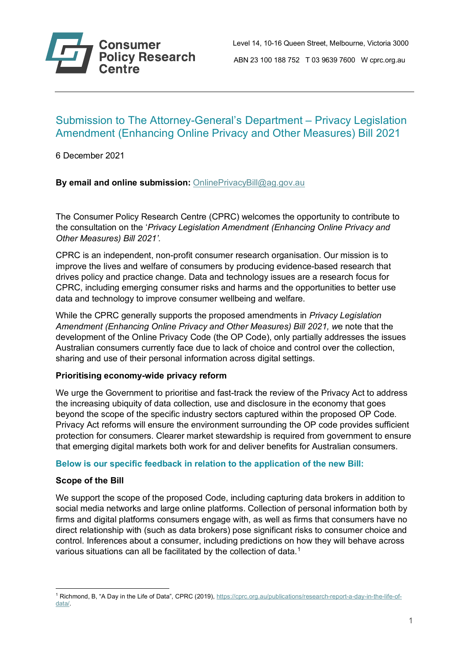

# Submission to The Attorney-General's Department – Privacy Legislation Amendment (Enhancing Online Privacy and Other Measures) Bill 2021

6 December 2021

**By email and online submission:** [OnlinePrivacyBill@ag.gov.au](mailto:OnlinePrivacyBill@ag.gov.au)

The Consumer Policy Research Centre (CPRC) welcomes the opportunity to contribute to the consultation on the '*Privacy Legislation Amendment (Enhancing Online Privacy and Other Measures) Bill 2021'.*

CPRC is an independent, non-profit consumer research organisation. Our mission is to improve the lives and welfare of consumers by producing evidence-based research that drives policy and practice change. Data and technology issues are a research focus for CPRC, including emerging consumer risks and harms and the opportunities to better use data and technology to improve consumer wellbeing and welfare.

While the CPRC generally supports the proposed amendments in *Privacy Legislation Amendment (Enhancing Online Privacy and Other Measures) Bill 2021, w*e note that the development of the Online Privacy Code (the OP Code), only partially addresses the issues Australian consumers currently face due to lack of choice and control over the collection, sharing and use of their personal information across digital settings.

# **Prioritising economy-wide privacy reform**

We urge the Government to prioritise and fast-track the review of the Privacy Act to address the increasing ubiquity of data collection, use and disclosure in the economy that goes beyond the scope of the specific industry sectors captured within the proposed OP Code. Privacy Act reforms will ensure the environment surrounding the OP code provides sufficient protection for consumers. Clearer market stewardship is required from government to ensure that emerging digital markets both work for and deliver benefits for Australian consumers.

# **Below is our specific feedback in relation to the application of the new Bill:**

# **Scope of the Bill**

We support the scope of the proposed Code, including capturing data brokers in addition to social media networks and large online platforms. Collection of personal information both by firms and digital platforms consumers engage with, as well as firms that consumers have no direct relationship with (such as data brokers) pose significant risks to consumer choice and control. Inferences about a consumer, including predictions on how they will behave across various situations can all be facilitated by the collection of data.<sup>[1](#page-0-0)</sup>

<span id="page-0-0"></span><sup>1</sup> Richmond, B, "A Day in the Life of Data", CPRC (2019), [https://cprc.org.au/publications/research-report-a-day-in-the-life-of](https://cprc.org.au/publications/research-report-a-day-in-the-life-of-data/)[data/.](https://cprc.org.au/publications/research-report-a-day-in-the-life-of-data/)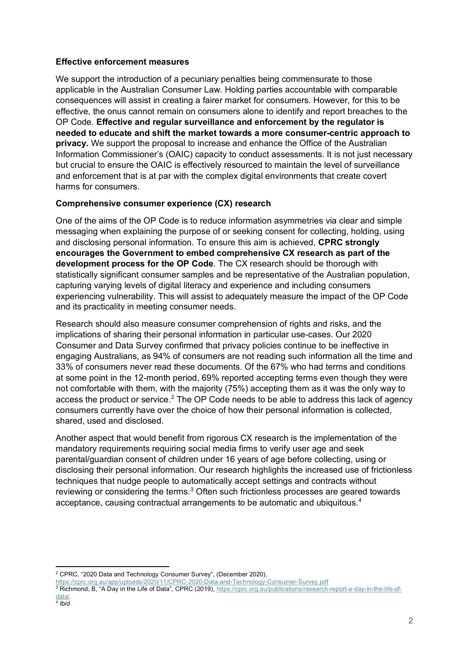# **Effective enforcement measures**

We support the introduction of a pecuniary penalties being commensurate to those applicable in the Australian Consumer Law. Holding parties accountable with comparable consequences will assist in creating a fairer market for consumers. However, for this to be effective, the onus cannot remain on consumers alone to identify and report breaches to the OP Code. **Effective and regular surveillance and enforcement by the regulator is needed to educate and shift the market towards a more consumer-centric approach to privacy.** We support the proposal to increase and enhance the Office of the Australian Information Commissioner's (OAIC) capacity to conduct assessments. It is not just necessary but crucial to ensure the OAIC is effectively resourced to maintain the level of surveillance and enforcement that is at par with the complex digital environments that create covert harms for consumers.

# **Comprehensive consumer experience (CX) research**

One of the aims of the OP Code is to reduce information asymmetries via clear and simple messaging when explaining the purpose of or seeking consent for collecting, holding, using and disclosing personal information. To ensure this aim is achieved, **CPRC strongly encourages the Government to embed comprehensive CX research as part of the development process for the OP Code**. The CX research should be thorough with statistically significant consumer samples and be representative of the Australian population, capturing varying levels of digital literacy and experience and including consumers experiencing vulnerability. This will assist to adequately measure the impact of the OP Code and its practicality in meeting consumer needs.

Research should also measure consumer comprehension of rights and risks, and the implications of sharing their personal information in particular use-cases. Our 2020 Consumer and Data Survey confirmed that privacy policies continue to be ineffective in engaging Australians, as 94% of consumers are not reading such information all the time and 33% of consumers never read these documents. Of the 67% who had terms and conditions at some point in the 12-month period, 69% reported accepting terms even though they were not comfortable with them, with the majority (75%) accepting them as it was the only way to access the product or service.<sup>[2](#page-1-0)</sup> The OP Code needs to be able to address this lack of agency consumers currently have over the choice of how their personal information is collected, shared, used and disclosed.

Another aspect that would benefit from rigorous CX research is the implementation of the mandatory requirements requiring social media firms to verify user age and seek parental/guardian consent of children under 16 years of age before collecting, using or disclosing their personal information. Our research highlights the increased use of frictionless techniques that nudge people to automatically accept settings and contracts without reviewing or considering the terms.<sup>[3](#page-1-1)</sup> Often such frictionless processes are geared towards acceptance, causing contractual arrangements to be automatic and ubiquitous.[4](#page-1-2)

<https://cprc.org.au/app/uploads/2020/11/CPRC-2020-Data-and-Technology-Consumer-Survey.pdf>

<span id="page-1-2"></span><span id="page-1-1"></span><sup>3</sup> Richmond, B, "A Day in the Life of Data", CPRC (2019), [https://cprc.org.au/publications/research-report-a-day-in-the-life-of](https://cprc.org.au/publications/research-report-a-day-in-the-life-of-data/)[data/.](https://cprc.org.au/publications/research-report-a-day-in-the-life-of-data/) 4 *Ibid*

<span id="page-1-0"></span><sup>2</sup> CPRC, "2020 Data and Technology Consumer Survey", (December 2020),